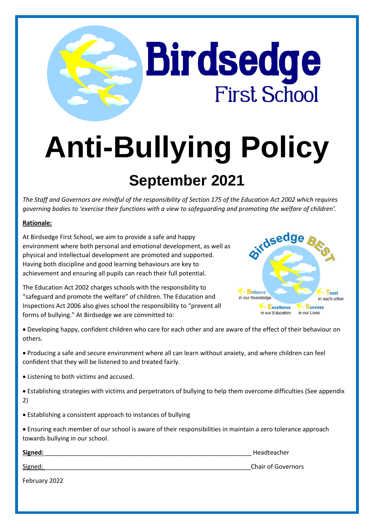# **Anti-Bullying Policy September 2021**

**Birdsedge** 

**First School** 

*The Staff and Governors are mindful of the responsibility of Section 175 of the Education Act 2002 which requires governing bodies to 'exercise their functions with a view to safeguarding and promoting the welfare of children'.*

#### **Rationale:**

At Birdsedge First School, we aim to provide a safe and happy environment where both personal and emotional development, as well as physical and intellectual development are promoted and supported. Having both discipline and good learning behaviours are key to achievement and ensuring all pupils can reach their full potential.

The Education Act 2002 charges schools with the responsibility to "safeguard and promote the welfare" of children. The Education and Inspections Act 2006 also gives school the responsibility to "prevent all forms of bullying." At Birdsedge we are committed to:



 Developing happy, confident children who care for each other and are aware of the effect of their behaviour on others.

- Producing a safe and secure environment where all can learn without anxiety, and where children can feel confident that they will be listened to and treated fairly.
- Listening to both victims and accused.
- Establishing strategies with victims and perpetrators of bullying to help them overcome difficulties (See appendix 2)
- Establishing a consistent approach to instances of bullying
- Ensuring each member of our school is aware of their responsibilities in maintain a zero tolerance approach towards bullying in our school.

| Signed:       | Headteacher               |
|---------------|---------------------------|
| Signed:       | <b>Chair of Governors</b> |
| February 2022 |                           |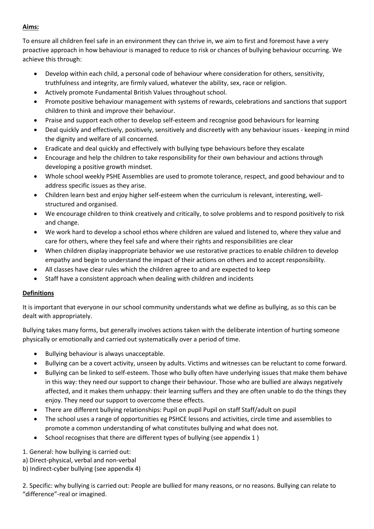## **Aims:**

To ensure all children feel safe in an environment they can thrive in, we aim to first and foremost have a very proactive approach in how behaviour is managed to reduce to risk or chances of bullying behaviour occurring. We achieve this through:

- Develop within each child, a personal code of behaviour where consideration for others, sensitivity, truthfulness and integrity, are firmly valued, whatever the ability, sex, race or religion.
- Actively promote Fundamental British Values throughout school.
- Promote positive behaviour management with systems of rewards, celebrations and sanctions that support children to think and improve their behaviour.
- Praise and support each other to develop self-esteem and recognise good behaviours for learning
- Deal quickly and effectively, positively, sensitively and discreetly with any behaviour issues keeping in mind the dignity and welfare of all concerned.
- Eradicate and deal quickly and effectively with bullying type behaviours before they escalate
- Encourage and help the children to take responsibility for their own behaviour and actions through developing a positive growth mindset.
- Whole school weekly PSHE Assemblies are used to promote tolerance, respect, and good behaviour and to address specific issues as they arise.
- Children learn best and enjoy higher self-esteem when the curriculum is relevant, interesting, wellstructured and organised.
- We encourage children to think creatively and critically, to solve problems and to respond positively to risk and change.
- We work hard to develop a school ethos where children are valued and listened to, where they value and care for others, where they feel safe and where their rights and responsibilities are clear
- When children display inappropriate behavior we use restorative practices to enable children to develop empathy and begin to understand the impact of their actions on others and to accept responsibility.
- All classes have clear rules which the children agree to and are expected to keep
- Staff have a consistent approach when dealing with children and incidents

# **Definitions**

It is important that everyone in our school community understands what we define as bullying, as so this can be dealt with appropriately.

Bullying takes many forms, but generally involves actions taken with the deliberate intention of hurting someone physically or emotionally and carried out systematically over a period of time.

- Bullying behaviour is always unacceptable.
- Bullying can be a covert activity, unseen by adults. Victims and witnesses can be reluctant to come forward.
- Bullying can be linked to self-esteem. Those who bully often have underlying issues that make them behave in this way: they need our support to change their behaviour. Those who are bullied are always negatively affected, and it makes them unhappy: their learning suffers and they are often unable to do the things they enjoy. They need our support to overcome these effects.
- There are different bullying relationships: Pupil on pupil Pupil on staff Staff/adult on pupil
- The school uses a range of opportunities eg PSHCE lessons and activities, circle time and assemblies to promote a common understanding of what constitutes bullying and what does not.
- School recognises that there are different types of bullying (see appendix 1 )

1. General: how bullying is carried out:

- a) Direct-physical, verbal and non-verbal
- b) Indirect-cyber bullying (see appendix 4)

2. Specific: why bullying is carried out: People are bullied for many reasons, or no reasons. Bullying can relate to "difference"-real or imagined.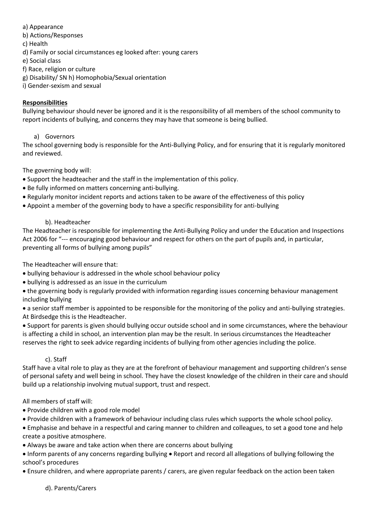a) Appearance

b) Actions/Responses

c) Health

d) Family or social circumstances eg looked after: young carers

e) Social class

f) Race, religion or culture

g) Disability/ SN h) Homophobia/Sexual orientation

i) Gender-sexism and sexual

## **Responsibilities**

Bullying behaviour should never be ignored and it is the responsibility of all members of the school community to report incidents of bullying, and concerns they may have that someone is being bullied.

## a) Governors

The school governing body is responsible for the Anti-Bullying Policy, and for ensuring that it is regularly monitored and reviewed.

The governing body will:

- Support the headteacher and the staff in the implementation of this policy.
- Be fully informed on matters concerning anti-bullying.
- Regularly monitor incident reports and actions taken to be aware of the effectiveness of this policy
- Appoint a member of the governing body to have a specific responsibility for anti-bullying

## b). Headteacher

The Headteacher is responsible for implementing the Anti-Bullying Policy and under the Education and Inspections Act 2006 for "--- encouraging good behaviour and respect for others on the part of pupils and, in particular, preventing all forms of bullying among pupils"

The Headteacher will ensure that:

- bullying behaviour is addressed in the whole school behaviour policy
- bullying is addressed as an issue in the curriculum
- the governing body is regularly provided with information regarding issues concerning behaviour management including bullying

 a senior staff member is appointed to be responsible for the monitoring of the policy and anti-bullying strategies. At Birdsedge this is the Headteacher.

 Support for parents is given should bullying occur outside school and in some circumstances, where the behaviour is affecting a child in school, an intervention plan may be the result. In serious circumstances the Headteacher reserves the right to seek advice regarding incidents of bullying from other agencies including the police.

# c). Staff

Staff have a vital role to play as they are at the forefront of behaviour management and supporting children's sense of personal safety and well being in school. They have the closest knowledge of the children in their care and should build up a relationship involving mutual support, trust and respect.

#### All members of staff will:

- Provide children with a good role model
- Provide children with a framework of behaviour including class rules which supports the whole school policy.
- Emphasise and behave in a respectful and caring manner to children and colleagues, to set a good tone and help create a positive atmosphere.
- Always be aware and take action when there are concerns about bullying
- Inform parents of any concerns regarding bullying Report and record all allegations of bullying following the school's procedures
- Ensure children, and where appropriate parents / carers, are given regular feedback on the action been taken

d). Parents/Carers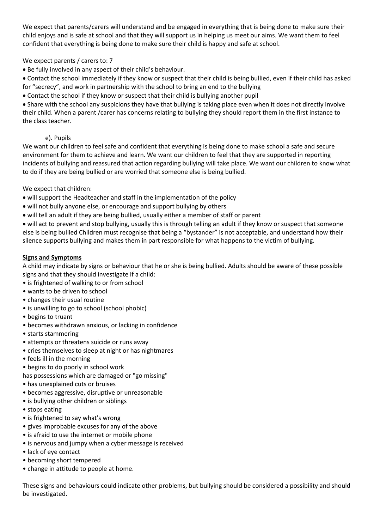We expect that parents/carers will understand and be engaged in everything that is being done to make sure their child enjoys and is safe at school and that they will support us in helping us meet our aims. We want them to feel confident that everything is being done to make sure their child is happy and safe at school.

#### We expect parents / carers to: 7

Be fully involved in any aspect of their child's behaviour.

 Contact the school immediately if they know or suspect that their child is being bullied, even if their child has asked for "secrecy", and work in partnership with the school to bring an end to the bullying

Contact the school if they know or suspect that their child is bullying another pupil

 Share with the school any suspicions they have that bullying is taking place even when it does not directly involve their child. When a parent /carer has concerns relating to bullying they should report them in the first instance to the class teacher.

## e). Pupils

We want our children to feel safe and confident that everything is being done to make school a safe and secure environment for them to achieve and learn. We want our children to feel that they are supported in reporting incidents of bullying and reassured that action regarding bullying will take place. We want our children to know what to do if they are being bullied or are worried that someone else is being bullied.

## We expect that children:

- will support the Headteacher and staff in the implementation of the policy
- will not bully anyone else, or encourage and support bullying by others
- will tell an adult if they are being bullied, usually either a member of staff or parent

 will act to prevent and stop bullying, usually this is through telling an adult if they know or suspect that someone else is being bullied Children must recognise that being a "bystander" is not acceptable, and understand how their silence supports bullying and makes them in part responsible for what happens to the victim of bullying.

#### **Signs and Symptoms**

A child may indicate by signs or behaviour that he or she is being bullied. Adults should be aware of these possible signs and that they should investigate if a child:

- is frightened of walking to or from school
- wants to be driven to school
- changes their usual routine
- is unwilling to go to school (school phobic)
- begins to truant
- becomes withdrawn anxious, or lacking in confidence
- starts stammering
- attempts or threatens suicide or runs away
- cries themselves to sleep at night or has nightmares
- feels ill in the morning
- begins to do poorly in school work
- has possessions which are damaged or "go missing"
- has unexplained cuts or bruises
- becomes aggressive, disruptive or unreasonable
- is bullying other children or siblings
- stops eating
- is frightened to say what's wrong
- gives improbable excuses for any of the above
- is afraid to use the internet or mobile phone
- is nervous and jumpy when a cyber message is received
- lack of eye contact
- becoming short tempered
- change in attitude to people at home.

These signs and behaviours could indicate other problems, but bullying should be considered a possibility and should be investigated.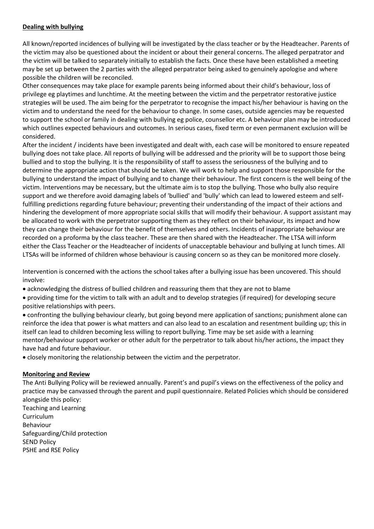#### **Dealing with bullying**

All known/reported incidences of bullying will be investigated by the class teacher or by the Headteacher. Parents of the victim may also be questioned about the incident or about their general concerns. The alleged perpatrator and the victim will be talked to separately initially to establish the facts. Once these have been established a meeting may be set up between the 2 parties with the alleged perpatrator being asked to genuinely apologise and where possible the children will be reconciled.

Other consequences may take place for example parents being informed about their child's behaviour, loss of privilege eg playtimes and lunchtime. At the meeting between the victim and the perpetrator restorative justice strategies will be used. The aim being for the perpetrator to recognise the impact his/her behaviour is having on the victim and to understand the need for the behaviour to change. In some cases, outside agencies may be requested to support the school or family in dealing with bullying eg police, counsellor etc. A behaviour plan may be introduced which outlines expected behaviours and outcomes. In serious cases, fixed term or even permanent exclusion will be considered.

After the incident / incidents have been investigated and dealt with, each case will be monitored to ensure repeated bullying does not take place. All reports of bullying will be addressed and the priority will be to support those being bullied and to stop the bullying. It is the responsibility of staff to assess the seriousness of the bullying and to determine the appropriate action that should be taken. We will work to help and support those responsible for the bullying to understand the impact of bullying and to change their behaviour. The first concern is the well being of the victim. Interventions may be necessary, but the ultimate aim is to stop the bullying. Those who bully also require support and we therefore avoid damaging labels of 'bullied' and 'bully' which can lead to lowered esteem and selffulfilling predictions regarding future behaviour; preventing their understanding of the impact of their actions and hindering the development of more appropriate social skills that will modify their behaviour. A support assistant may be allocated to work with the perpetrator supporting them as they reflect on their behaviour, its impact and how they can change their behaviour for the benefit of themselves and others. Incidents of inappropriate behaviour are recorded on a proforma by the class teacher. These are then shared with the Headteacher. The LTSA will inform either the Class Teacher or the Headteacher of incidents of unacceptable behaviour and bullying at lunch times. All LTSAs will be informed of children whose behaviour is causing concern so as they can be monitored more closely.

Intervention is concerned with the actions the school takes after a bullying issue has been uncovered. This should involve:

- acknowledging the distress of bullied children and reassuring them that they are not to blame
- providing time for the victim to talk with an adult and to develop strategies (if required) for developing secure positive relationships with peers.
- confronting the bullying behaviour clearly, but going beyond mere application of sanctions; punishment alone can reinforce the idea that power is what matters and can also lead to an escalation and resentment building up; this in itself can lead to children becoming less willing to report bullying. Time may be set aside with a learning mentor/behaviour support worker or other adult for the perpetrator to talk about his/her actions, the impact they have had and future behaviour.
- closely monitoring the relationship between the victim and the perpetrator.

#### **Monitoring and Review**

The Anti Bullying Policy will be reviewed annually. Parent's and pupil's views on the effectiveness of the policy and practice may be canvassed through the parent and pupil questionnaire. Related Policies which should be considered alongside this policy:

Teaching and Learning Curriculum Behaviour Safeguarding/Child protection SEND Policy PSHE and RSE Policy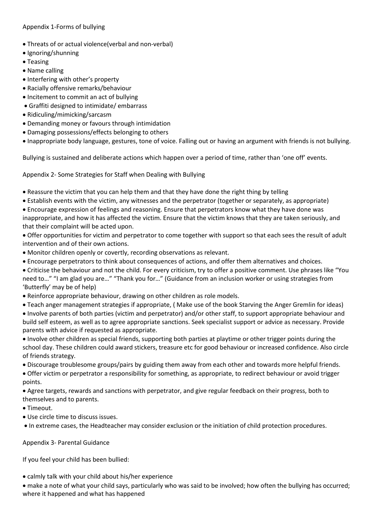Appendix 1-Forms of bullying

- Threats of or actual violence(verbal and non-verbal)
- Ignoring/shunning
- Teasing
- Name calling
- Interfering with other's property
- Racially offensive remarks/behaviour
- Incitement to commit an act of bullying
- Graffiti designed to intimidate/ embarrass
- Ridiculing/mimicking/sarcasm
- Demanding money or favours through intimidation
- Damaging possessions/effects belonging to others
- Inappropriate body language, gestures, tone of voice. Falling out or having an argument with friends is not bullying.

Bullying is sustained and deliberate actions which happen over a period of time, rather than 'one off' events.

Appendix 2- Some Strategies for Staff when Dealing with Bullying

- Reassure the victim that you can help them and that they have done the right thing by telling
- Establish events with the victim, any witnesses and the perpetrator (together or separately, as appropriate)
- Encourage expression of feelings and reasoning. Ensure that perpetrators know what they have done was inappropriate, and how it has affected the victim. Ensure that the victim knows that they are taken seriously, and that their complaint will be acted upon.
- Offer opportunities for victim and perpetrator to come together with support so that each sees the result of adult intervention and of their own actions.
- Monitor children openly or covertly, recording observations as relevant.
- Encourage perpetrators to think about consequences of actions, and offer them alternatives and choices.
- Criticise the behaviour and not the child. For every criticism, try to offer a positive comment. Use phrases like "You need to…" "I am glad you are…" "Thank you for…" (Guidance from an inclusion worker or using strategies from 'Butterfly' may be of help)
- Reinforce appropriate behaviour, drawing on other children as role models.
- Teach anger management strategies if appropriate, ( Make use of the book Starving the Anger Gremlin for ideas)
- Involve parents of both parties (victim and perpetrator) and/or other staff, to support appropriate behaviour and build self esteem, as well as to agree appropriate sanctions. Seek specialist support or advice as necessary. Provide parents with advice if requested as appropriate.
- Involve other children as special friends, supporting both parties at playtime or other trigger points during the school day. These children could award stickers, treasure etc for good behaviour or increased confidence. Also circle of friends strategy.
- Discourage troublesome groups/pairs by guiding them away from each other and towards more helpful friends.
- Offer victim or perpetrator a responsibility for something, as appropriate, to redirect behaviour or avoid trigger points.

 Agree targets, rewards and sanctions with perpetrator, and give regular feedback on their progress, both to themselves and to parents.

- Timeout.
- Use circle time to discuss issues.
- In extreme cases, the Headteacher may consider exclusion or the initiation of child protection procedures.

Appendix 3- Parental Guidance

If you feel your child has been bullied:

calmly talk with your child about his/her experience

 make a note of what your child says, particularly who was said to be involved; how often the bullying has occurred; where it happened and what has happened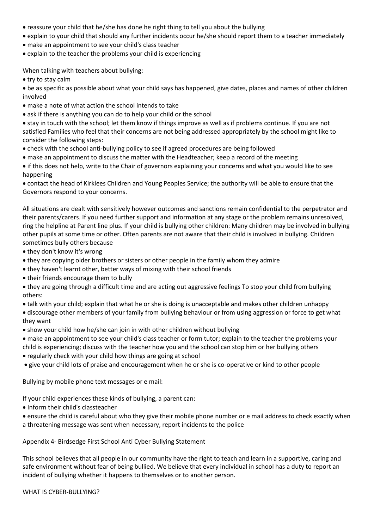- reassure your child that he/she has done he right thing to tell you about the bullying
- explain to your child that should any further incidents occur he/she should report them to a teacher immediately
- make an appointment to see your child's class teacher
- explain to the teacher the problems your child is experiencing

When talking with teachers about bullying:

• try to stay calm

 be as specific as possible about what your child says has happened, give dates, places and names of other children involved

- make a note of what action the school intends to take
- ask if there is anything you can do to help your child or the school

 stay in touch with the school; let them know if things improve as well as if problems continue. If you are not satisfied Families who feel that their concerns are not being addressed appropriately by the school might like to consider the following steps:

- check with the school anti-bullying policy to see if agreed procedures are being followed
- make an appointment to discuss the matter with the Headteacher; keep a record of the meeting
- if this does not help, write to the Chair of governors explaining your concerns and what you would like to see happening

 contact the head of Kirklees Children and Young Peoples Service; the authority will be able to ensure that the Governors respond to your concerns.

All situations are dealt with sensitively however outcomes and sanctions remain confidential to the perpetrator and their parents/carers. If you need further support and information at any stage or the problem remains unresolved, ring the helpline at Parent line plus. If your child is bullying other children: Many children may be involved in bullying other pupils at some time or other. Often parents are not aware that their child is involved in bullying. Children sometimes bully others because

- they don't know it's wrong
- they are copying older brothers or sisters or other people in the family whom they admire
- they haven't learnt other, better ways of mixing with their school friends
- their friends encourage them to bully
- they are going through a difficult time and are acting out aggressive feelings To stop your child from bullying others:
- talk with your child; explain that what he or she is doing is unacceptable and makes other children unhappy
- discourage other members of your family from bullying behaviour or from using aggression or force to get what they want
- show your child how he/she can join in with other children without bullying
- make an appointment to see your child's class teacher or form tutor; explain to the teacher the problems your child is experiencing; discuss with the teacher how you and the school can stop him or her bullying others
- regularly check with your child how things are going at school
- give your child lots of praise and encouragement when he or she is co-operative or kind to other people

Bullying by mobile phone text messages or e mail:

If your child experiences these kinds of bullying, a parent can:

• Inform their child's classteacher

 ensure the child is careful about who they give their mobile phone number or e mail address to check exactly when a threatening message was sent when necessary, report incidents to the police

Appendix 4- Birdsedge First School Anti Cyber Bullying Statement

This school believes that all people in our community have the right to teach and learn in a supportive, caring and safe environment without fear of being bullied. We believe that every individual in school has a duty to report an incident of bullying whether it happens to themselves or to another person.

WHAT IS CYBER-BULLYING?